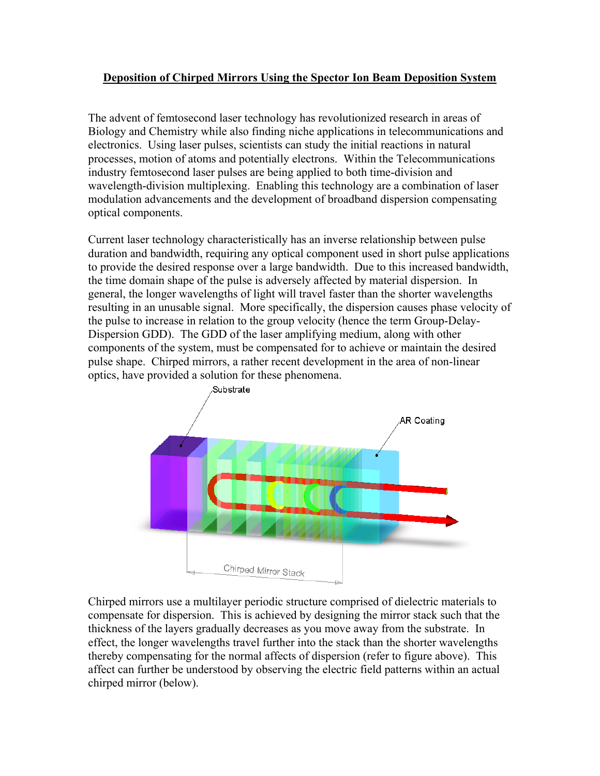## **Deposition of Chirped Mirrors Using the Spector Ion Beam Deposition System**

The advent of femtosecond laser technology has revolutionized research in areas of Biology and Chemistry while also finding niche applications in telecommunications and electronics. Using laser pulses, scientists can study the initial reactions in natural processes, motion of atoms and potentially electrons. Within the Telecommunications industry femtosecond laser pulses are being applied to both time-division and wavelength-division multiplexing. Enabling this technology are a combination of laser modulation advancements and the development of broadband dispersion compensating optical components.

Current laser technology characteristically has an inverse relationship between pulse duration and bandwidth, requiring any optical component used in short pulse applications to provide the desired response over a large bandwidth. Due to this increased bandwidth, the time domain shape of the pulse is adversely affected by material dispersion. In general, the longer wavelengths of light will travel faster than the shorter wavelengths resulting in an unusable signal. More specifically, the dispersion causes phase velocity of the pulse to increase in relation to the group velocity (hence the term Group-Delay-Dispersion GDD). The GDD of the laser amplifying medium, along with other components of the system, must be compensated for to achieve or maintain the desired pulse shape. Chirped mirrors, a rather recent development in the area of non-linear optics, have provided a solution for these phenomena.



Chirped mirrors use a multilayer periodic structure comprised of dielectric materials to compensate for dispersion. This is achieved by designing the mirror stack such that the thickness of the layers gradually decreases as you move away from the substrate. In effect, the longer wavelengths travel further into the stack than the shorter wavelengths thereby compensating for the normal affects of dispersion (refer to figure above). This affect can further be understood by observing the electric field patterns within an actual chirped mirror (below).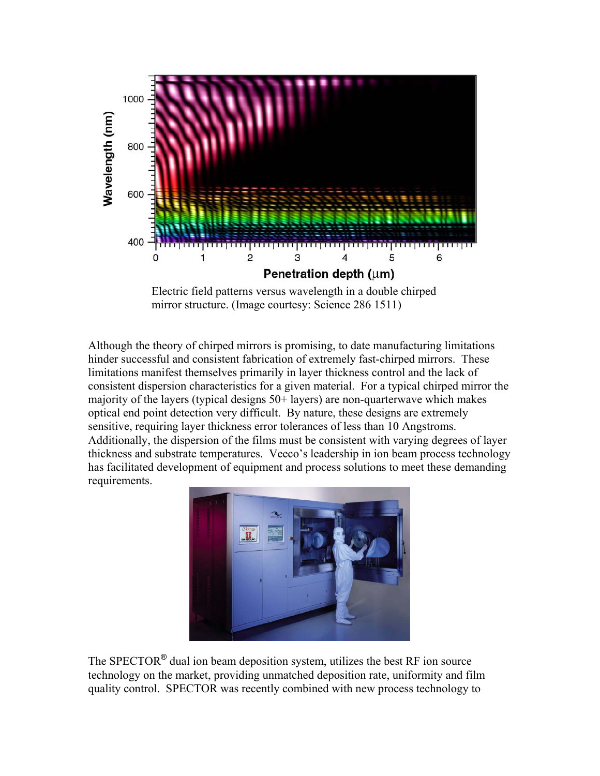

Electric field patterns versus wavelength in a double chirped mirror structure. (Image courtesy: Science 286 1511)

Although the theory of chirped mirrors is promising, to date manufacturing limitations hinder successful and consistent fabrication of extremely fast-chirped mirrors. These limitations manifest themselves primarily in layer thickness control and the lack of consistent dispersion characteristics for a given material. For a typical chirped mirror the majority of the layers (typical designs 50+ layers) are non-quarterwave which makes optical end point detection very difficult. By nature, these designs are extremely sensitive, requiring layer thickness error tolerances of less than 10 Angstroms. Additionally, the dispersion of the films must be consistent with varying degrees of layer thickness and substrate temperatures. Veeco's leadership in ion beam process technology has facilitated development of equipment and process solutions to meet these demanding requirements.



The SPECTOR<sup>®</sup> dual ion beam deposition system, utilizes the best RF ion source technology on the market, providing unmatched deposition rate, uniformity and film quality control. SPECTOR was recently combined with new process technology to